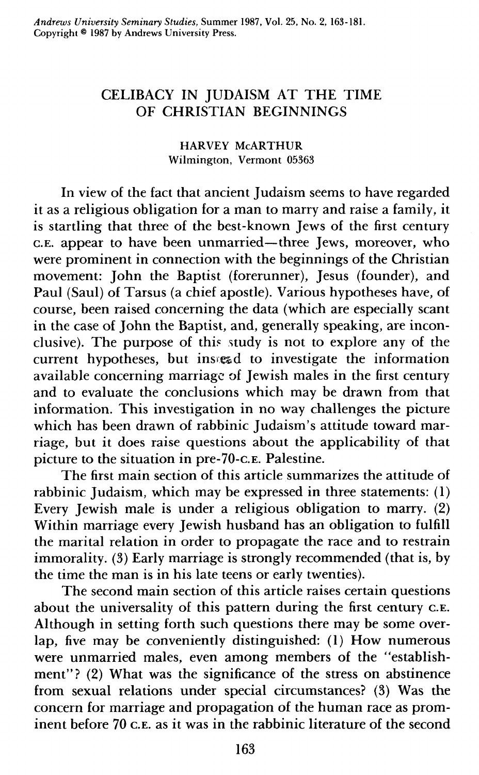# CELIBACY IN JUDAISM AT THE TIME OF CHRISTIAN BEGINNINGS

#### **HARVEY McARTHUR Wilmington, Vermont 05363**

In view of the fact that ancient Judaism seems to have regarded it as a religious obligation for a man to marry and raise a family, it is startling that three of the best-known Jews of the first century C.E. appear to have been unmarried-three Jews, moreover, who were prominent in connection with the beginnings of the Christian movement: John the Baptist (forerunner), Jesus (founder), and Paul (Saul) of Tarsus (a chief apostle). Various hypotheses have, of course, been raised concerning the data (which are especially scant in the case of John the Baptist, and, generally speaking, are inconclusive). The purpose of this study is not to explore any of the current hypotheses, but insigad to investigate the information available concerning marriage of Jewish males in the first century and to evaluate the conclusions which may be drawn from that information. This investigation in no way challenges the picture which has been drawn of rabbinic Judaism's attitude toward marriage, but it does raise questions about the applicability of that picture to the situation in pre-70-C.E. Palestine.

The first main section of this article summarizes the attitude of rabbinic Judaism, which may be expressed in three statements: (1) Every Jewish male is under a religious obligation to marry. **(2)**  Within marriage every Jewish husband has an obligation to fulfill the marital relation in order to propagate the race and to restrain immorality. **(3)** Early marriage is strongly recommended (that is, by the time the man is in his late teens or early twenties).

The second main section of this article raises certain questions about the universality of this pattern during the first century c.E. Although in setting forth such questions there may be some overlap, five may be conveniently distinguished: (1) How numerous were unmarried males, even among members of the "establishment"? **(2)** What was the significance of the stress on abstinence from sexual relations under special circumstances? **(3)** Was the concern for marriage and propagation of the human race as prominent before 70 C.E. as it was in the rabbinic literature of the second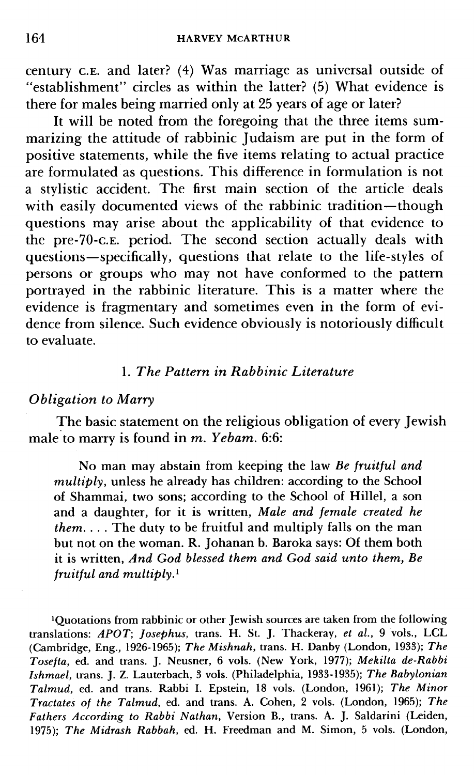century C.E. and later? (4) Was marriage as universal outside of "establishment" circles as within the latter? (5) What evidence is there for males being married only at 25 years of age or later?

It will be noted from the foregoing that the three items summarizing the attitude of rabbinic Judaism are put in the form of positive statements, while the five items relating to actual practice are formulated as questions. This difference in formulation is not a stylistic accident. The first main section of the article deals with easily documented views of the rabbinic tradition-though questions may arise about the applicability of that evidence to the pre-70-C.E. period. The second section actually deals with questions-specifically, questions that relate to the life-styles of persons or groups who may not have conformed to the pattern portrayed in the rabbinic literature. This is a matter where the evidence is fragmentary and sometimes even in the form of evidence from silence. Such evidence obviously is notoriously difficult to evaluate.

#### *1. The Pattern in Rabbinic Literature*

## *Obligation to Marry*

The basic statement on the religious obligation of every Jewish male to marry is found in *m. Yebam.* 6:6:

No man may abstain from keeping the law *Be fruitful and multiply,* unless he already has children: according to the School of Shammai, two sons; according to the School of Hillel, a son and a daughter, for it is written, *Male and female created he them.* . . . The duty to be fruitful and multiply falls on the man but not on the woman. R. Johanan b. Baroka says: Of them both it is written, *And God blessed them and God said unto them, Be fruitful and mu1tiply.l* 

'Quotations from rabbinic or other Jewish sources are taken from the following translations: APOT; Josephus, trans. H. St. J. Thackeray, et al., 9 vols., LCL (Cambridge, Eng., 1926-1965); The Mishnah, trans. H. Danby (London, 1933); The Tosefta, ed. and trans. J. Neusner, 6 vols. (New York, 1977); Mekilta de-Rabbi Ishmael, trans. J. Z. Lauterbach, 3 vols. (Philadelphia, 1933-1935); The Babylonian Talmud, ed. and trans. Rabbi I. Epstein, 18 vols. (London, 1961); The Minor Tractates of the Talmud, ed. and trans. A. Cohen, 2 vols. (London, 1965); The Fathers According to Rabbi Nathan, Version B., trans. A. J. Saldarini (Leiden, 1975); The Midrash Rabbah, ed. H. Freedman and M. Simon, 5 vols. (London,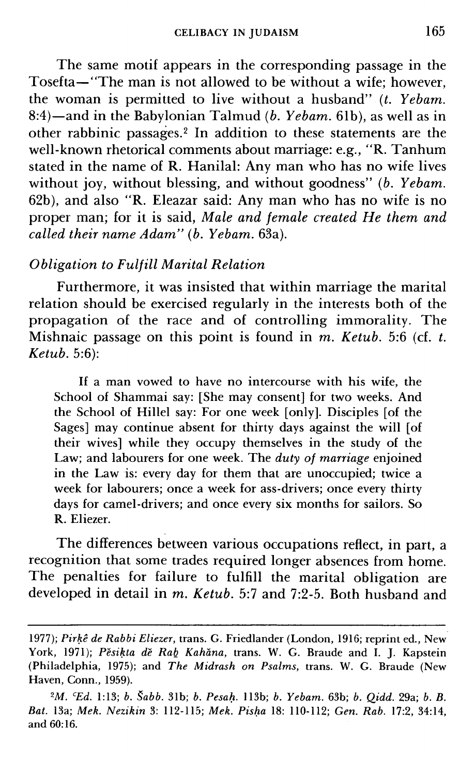The same motif appears in the corresponding passage in the Tosefta-"The man is not allowed to be without a wife; however, the woman is permitted to live without a husband" *(t. Yebam.*  8:4)-and in the Babylonian Talmud *(b. Yebam.* 61b), as well as in other rabbinic passages.2 In addition to these statements are the well- known rhetorical comments about marriage: e-g., "R. Tanhum stated in the name of R. Hanilal: Any man who has no wife lives without joy, without blessing, and without goodness" *(b. Yebam.*  62b), and also "R. Eleazar said: Any man who has no wife is no proper man; for it is said, *Male and female created He them and called their name Adam" (b. Yebam.* 63a).

#### *Obligation to Fulfill Marital Relation*

Furthermore, it was insisted that within marriage the marital relation should be exercised regularly in the interests both of the propagation of the race and of controlling immorality. The Mishnaic passage on this point is found in *m. Ketub.* 5:6 (cf. *t. Ketub.* 5:6):

If a man vowed to have no intercourse with his wife, the School of Shammai say: [She may consent] for two weeks. And the School of Hillel say: For one week [only]. Disciples [of the Sages] may continue absent for thirty days against the will [of their wives] while they occupy themselves in the study of the Law; and labourers for one week. The duty of *marriage* enjoined in the Law is: every day for them that are unoccupied; twice a week for labourers; once a week for ass-drivers; once every thirty days for camel-drivers; and once every six months for sailors. So R. Eliezer.

The differences between various occupations reflect, in part, a recognition that some trades required longer absences from home. The penalties for failure to fulfill the marital obligation are developed in detail in *m. Ketub.* 5:7 and 7:2-5. Both husband and

**<sup>1977);</sup>** *Pirki? de Rabbi Eliezer,* **trans.** *G.* **Friedlander (London, 1916; reprint ed., New**  York, 1971); Pesikta de Rab Kahana, trans. W. G. Braude and I. J. Kapstein **(Philadelphia, 1975); and** *The Midrash* **on** *Psalms,* **trans.** *W. G.* **Braude (New Haven, Conn., 1959).** 

*<sup>2</sup>M. 'Ed.* **1:** *b. Sabb.* **31b;** *b. Pesah.* **113b;** *b. Yebam.* **63b;** *b. Qidd.* **29a;** *b. B. Bat.* **13a;** *Mek. Nezikin* **3: 112-115;** *Mek. Pisha* **18: 110-1 12;** *Gen. Rub.* **17:2, 34:14, and 60:16.**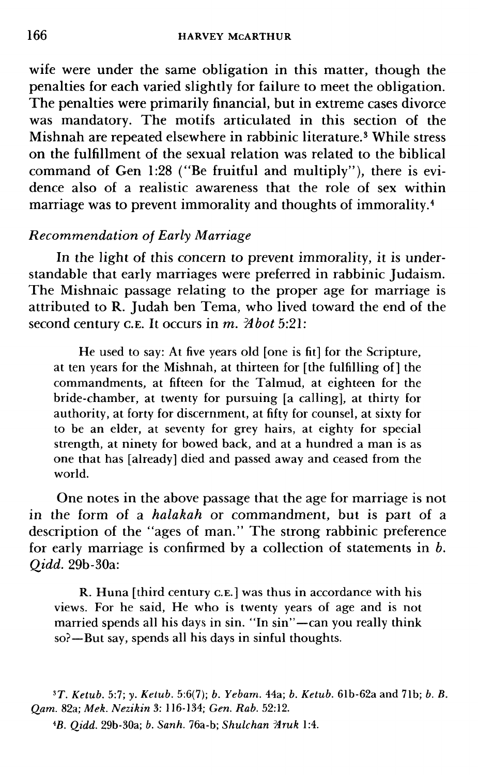wife were under the same obligation in this matter, though the penalties for each varied slightly for failure to meet the obligation. The penalties were primarily financial, but in extreme cases divorce was mandatory. The motifs articulated in this section of the Mishnah are repeated elsewhere in rabbinic literature.3 While stress on the fulfillment of the sexual relation was related to the biblical command of Gen 1:28 ("Be fruitful and multiply"), there is evidence also of a realistic awareness that the role of sex within marriage was to prevent immorality and thoughts of immorality.4

## *Recommendation of Early Marriage*

In the light of this concern to prevent immorality, it is understandable that early marriages were preferred in rabbinic Judaism. The Mishnaic passage relating to the proper age for marriage is attributed to R. Judah ben Tema, who lived toward the end of the second century C.E. It occurs in *m.* 'A *bot* 5:21:

He used to say: At five years old [one is fit] for the Scripture, at ten years for the Mishnah, at thirteen for [the fulfilling of] the commandments, at fifteen for the Talmud, at eighteen for the bride-chamber, at twenty for pursuing [a calling], at thirty for authority, at forty for discernment, at fifty for counsel, at sixty for to be an elder, at seventy for grey hairs, at eighty for special strength, at ninety for bowed back, and at a hundred a man is as one that has [already] died and passed away and ceased from the world.

One notes in the above passage that the age for marriage is not in the form of a *halakah* or commandment, but is part of a description of the "ages of man." The strong rabbinic preference for early marriage is confirmed by a collection of statements in *b. Qidd.* 29b-30a:

R. Huna [third century c.E.] was thus in accordance with his views. For he said, He who is twenty years of age and is not married spends all his days in sin. "In  $\sin$ " — can you really think  $\frac{1}{100}$  so?—But say, spends all his days in sinful thoughts.

*3T. Ketub.* **5:7;** *y. Ketub.* **5:6(7);** *b. Yebam.* **44a;** *b. Ketub.* **61b-62a and 71b;** *b.* **B.**  *Qam.* **82a;** *Mek. Nezikin* **3:** *116-134; Gen. Rub.* **52:12.** 

*4B. Qidd.* **29b-30a;** *b. Sanh.* **76a-b;** *Shulchan 'Aruk* **1:4.**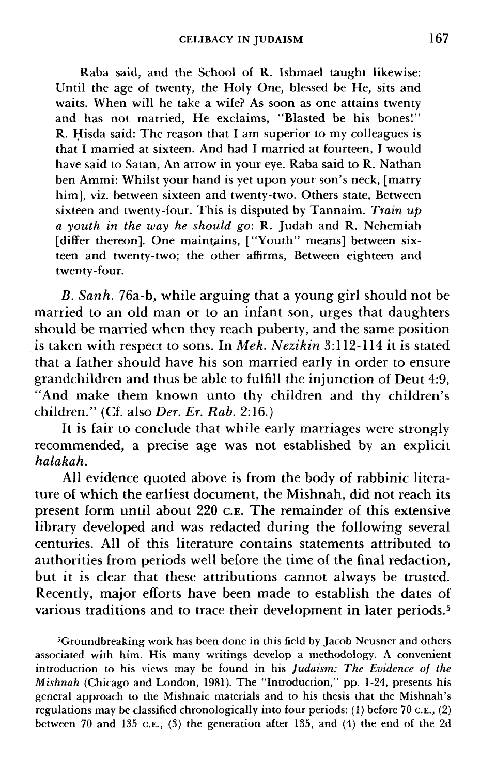Raba said, and the School of R. Ishmael taught likewise: Until the age of twenty, the Holy One, blessed be He, sits and waits. When will he take a wife? As soon as one attains twenty and has not married. He exclaims, "Blasted be his bones!" R. Hisda said: The reason that I am superior to my colleagues is that I married at sixteen. And had I married at fourteen, I would have said to Satan, An arrow in your eye. Raba said to R. Nathan ben Ammi: Whilst your hand is yet upon your son's neck, [marry him], viz. between sixteen and twenty-two. Others state, Between sixteen and twenty-four. This is disputed by Tannaim. **Train** *up*  a *youth in the way he should go: R.* Judah and R. Nehemiah [differ thereon]. One maintains, ["Youth" means] between sixteen and twenty-two; the other affirms, Between eighteen and twenty-four.

*B. Sanh.* 76a-b, while arguing that a young girl should not be married to an old man or to an infant son, urges that daughters should be married when they reach puberty, and the same position is taken with respect to sons. In *Mek. Nezikin* 3:112-114 it is stated that a father should have his son married early in order to ensure grandchildren and thus be able to fulfill the injunction of Deut 4:9, "And make them known unto thy children and thy children's children." (Cf. also *Der. Er. Rab.* 2:16.)

It is fair to conclude that while early marriages were strongly recommended, a precise age was not established by an explicit *halakah.* 

All evidence quoted above is from the body of rabbinic literature of which the earliest document, the Mishnah, did not reach its present form until about 220 **C.E.** The remainder of this extensive library developed and was redacted during the following several centuries. All of this literature contains statements attributed to authorities from periods well before the time of the final redaction, but it is clear that these attributions cannot always be trusted. Recently, major efforts have been made to establish the dates of various traditions and to trace their development in later periods.<sup>5</sup>

<sup>5</sup>Groundbreaking work has been done in this field by Jacob Neusner and others associated with him. His many writings develop a methodology. A convenient introduction to his views may be found in his *Judaism: The Evidence* of *the Mishnah* (Chicago and London, 1981). The "Introduction," pp. 1-24, presents his general approach to the Mishnaic materials and to his thesis that the Mishnah's regulations may be classified chronologically into four periods: (1) before 70 **c.E.,** (2) between 70 and 135 **c.E.,** (3) the generation after 135, and (4) the end of the **2d**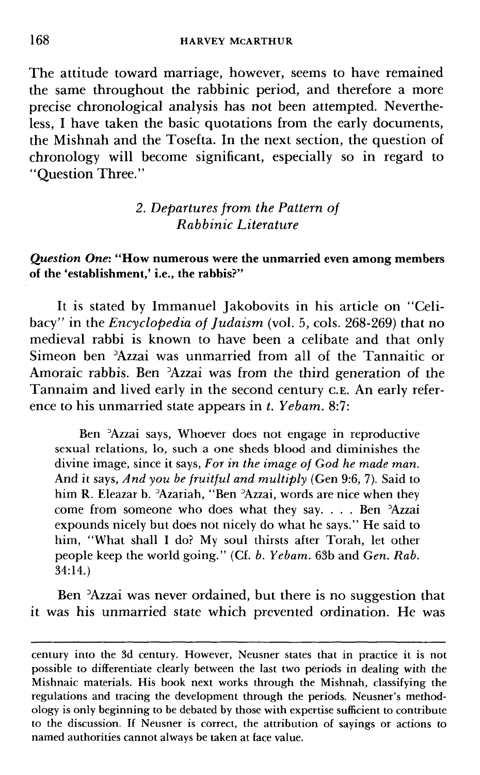The attitude toward marriage, however, seems to have remained the same throughout the rabbinic period, and therefore a more precise chronological analysis has not been attempted. Nevertheless, I have taken the basic quotations from the early documents, the Mishnah and the Tosefta. In the next section, the question of chronology will become significant, especially so in regard to "Question Three."

## *2. Departures from the Pattern of Rab binic Literature*

#### **Question** *One:* **"How numerous were the unmarried even among members of the 'establishment,' i.e., the rabbis?"**

It is stated by Immanuel Jakobovits in his article on "Celibacy" in the *Encyclopedia of Judaism* (vol. *5,* cols. 268-269) that no medieval rabbi is known to have been a celibate and that only Simeon ben 'Azzai was unmarried from all of the Tannaitic or Amoraic rabbis. Ben 'Azzai was from the third generation of the Tannaim and lived early in the second century **C.E.** An early reference to his unmarried state appears in *t. Yebam.* 8:7:

Ben 'Azzai says, Whoever does not engage in reproductive sexual relations, lo, such a one sheds blood and diminishes the divine image, since it says, *For in the image of God he made man.*  And it says, And you be fruitful and multiply (Gen 9:6, 7). Said to him R. Eleazar b. 'Azariah, "Ben 'Azzai, words are nice when they come from someone who does what they say. . . . Ben 'Azzai expounds nicely but does not nicely do what he says." He said to him, "What shall I do? My soul thirsts after Torah, let other people keep the world going." **(Cf.** *b. Yebam.* 63b and *Gen. Rub.*   $34:14.$ 

Ben 'Azzai was never ordained, but there is no suggestion that it was his unmarried state which prevented ordination. He was

century into the 3d century. However, Neusner states that in practice it is not possible to differentiate clearly between the last two periods in dealing with the Mishnaic materials. His book next works through the Mishnah, classifying the regulations and tracing the development through the periods. Neusner's methodology is only beginning to be debated by those with expertise sufficient to contribute to the discussion. If Neusner is correct, the attribution of sayings or actions to named authorities cannot always be taken at face value.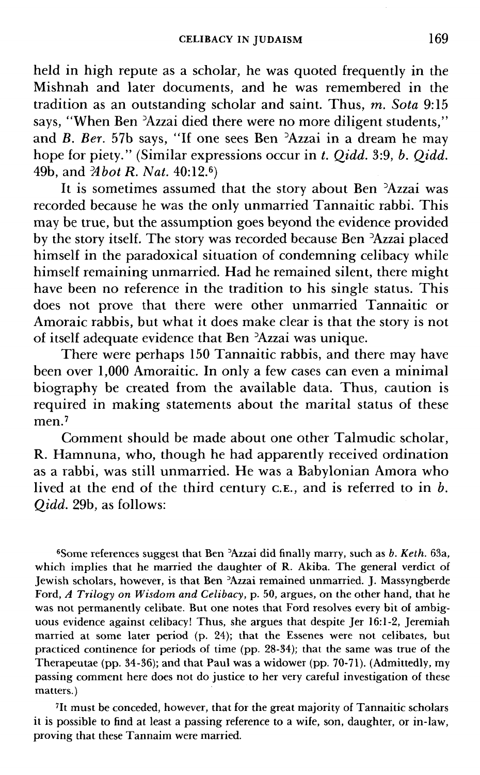held in high repute as a scholar, he was quoted frequently in the Mishnah and later documents, and he was remembered in the tradition as an outstanding scholar and saint. Thus,  $m$ . Sota 9:15 says, "When Ben 'Azzai died there were no more diligent students," and B. *Ber.* 57b says, "If one sees Ben 'Azzai in a dream he may hope for piety." (Similar expressions occur in *t. Qidd.* 3:9, *b. Qidd.*  49b, and 'A *bot* R. *Nut.* 40:12.6)

It is sometimes assumed that the story about Ben 'Azzai was recorded because he was the only unmarried Tannaitic rabbi. This may be true, but the assumption goes beyond the evidence provided by the story itself. The story was recorded because Ben 'Azzai placed himself in the paradoxical situation of condemning celibacy while himself remaining unmarried. Had he remained silent, there might have been no reference in the tradition to his single status. This does not prove that there were other unmarried Tannaitic or Amoraic rabbis, but what it does make clear is that the story is not of itself adequate evidence that Ben 'Azzai was unique.

There were perhaps 150 Tannaitic rabbis, and there may have been over 1,000 Amoraitic. In only a few cases can even a minimal biography be created from the available data. Thus, caution is required in making statements about the marital status of these men.'

Comment should be made about one other Talmudic scholar, R. Hamnuna, who, though he had apparently received ordination as a rabbi, was still unmarried. He was a Babylonian Amora who lived at the end of the third century c.E., and is referred to in b. *Qidd.* 29b, as follows:

?Some references suggest that Ben 'Azzai did finally marry, such as *b. Keth.* 63a, which implies that he married the daughter of R. Akiba. The general verdict of Jewish scholars, however, is that Ben 'Azzai remained unmarried. J. Massyngberde Ford, A *Trilogy on Wisdom and Celibacy,* p. 50, argues, on the other hand, that he was not permanently celibate. But one notes that Ford resolves every bit of ambiguous evidence against celibacy! Thus, she argues that despite Jer 16:l-2, Jeremiah married at some later period (p. 24); that the Essenes were not celibates, but practiced continence for periods of time (pp. 28-34); that the same was true of the Therapeutae (pp. 34-36); and that Paul was a widower (pp. 70-71). (Admittedly, my passing comment here does not do justice to her very careful investigation of these matters.)

71t must be conceded, however, that for the great majority of Tannaitic scholars it is possible to find at least a passing reference to a wife, son, daughter, or in-law, proving that these Tannaim were married.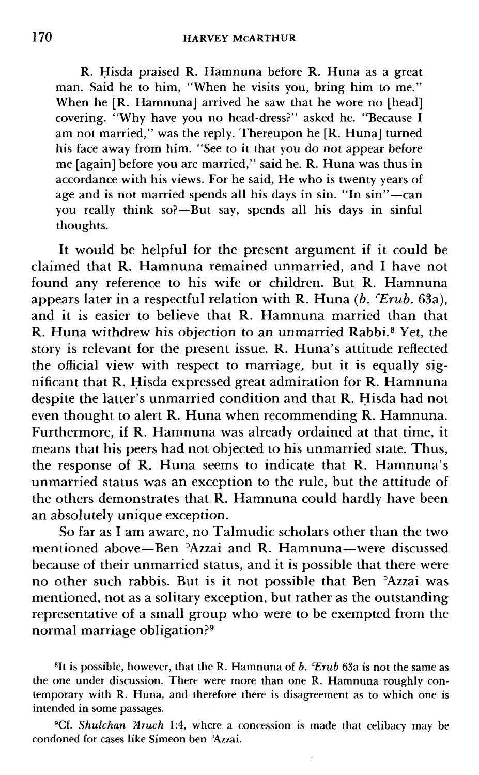R. Hisda praised R. Hamnuna before R. Huna as a great man. Said he to him, "When he visits you, bring him to me." When he [R. Hamnuna] arrived he saw that he wore no [head] covering. "Why have you no head-dress?" asked he. "Because I am not married," was the reply. Thereupon he [R. Huna] turned his face away from him. "See to it that you do not appear before me [again] before you are married," said he. R. Huna was thus in accordance with his views. For he said, He who is twenty years of age and is not married spends all his days in sin. "In  $\sin$ "-can you really think so?-But say, spends all his days in sinful thoughts.

It would be helpful for the present argument if it could be claimed that R. Hamnuna remained unmarried, and I have not found any reference to his wife or children. But R. Hamnuna appears later in a respectful relation with R. Huna (b. *'Erub.* 63a), and it is easier to believe that R. Hamnuna married than that R. Huna withdrew his objection to an unmarried Rabbi.\* Yet, the story is relevant for the present issue. R. Huna's attitude reflected the official view with respect to marriage, but it is equally significant that R. Hisda expressed great admiration for R. Hamnuna despite the latter's unmarried condition and that R. Hisda had not even thought to alert R. Huna when recommending R. Hamnuna. Furthermore, if R. Hamnuna was already ordained at that time, it means that his peers had not objected to his unmarried state. Thus, the response of R. Huna seems to indicate that R. Hamnuna's unmarried status was an exception to the rule, but the attitude of the others demonstrates that R. Hamnuna could hardly have been an absolutely unique exception.

So far as I am aware, no Talmudic scholars other than the two mentioned above-Ben 'Azzai and R. Hamnuna-were discussed because of their unmarried status, and it is possible that there were no other such rabbis. But is it not possible that Ben 'Azzai was mentioned, not as a solitary exception, but rather as the outstanding representative of a small group who were to be exempted from the normal marriage obligation?<sup>9</sup>

**81t is possible, however, that the R. Hamnuna of** *b. 'Erub* **63a is not the same as the one under discussion. There were more than one R. Hamnuna roughly contemporary with R. Huna, and therefore there is disagreement as to which one is intended in some passages.** 

**9Cf.** *Shulchan 3truch* **1:4, where a concession is made that celibacy may be condoned for cases like Simeon ben 'Azzai.**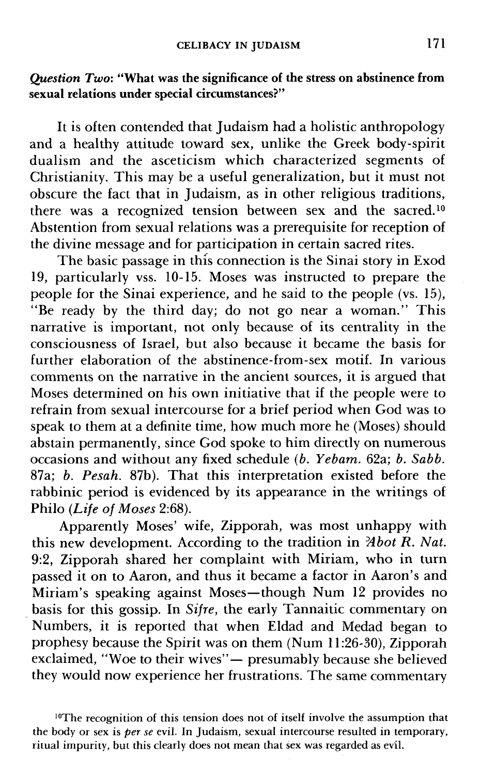# *Question Two:* **"What was the significance of the stress on abstinence from sexual relations under special circumstances?"**

It is often contended that Judaism had a holistic anthropology and a healthy attitude toward sex, unlike the Greek body-spirit dualism and the asceticism which characterized segments of Christianity. This may be a useful generalization, but it must not obscure the fact that in Judaism, as in other religious traditions, there was a recognized tension between sex and the sacred.10 Abstention from sexual relations was a prerequisite for reception of the divine message and for participation in certain sacred rites.

The basic passage in this connection is the Sinai story in Exod 19, particularly vss. 10-15. Moses was instructed to prepare the people for the Sinai experience, and he said to the people (vs. 15), "Be ready by the third day; do not go near a woman.'' This narrative is important, not only because of its centrality in the consciousness of Israel, but also because it became the basis for further elaboration of the abstinence-from-sex motif. In various comments on the narrative in the ancient sources, it is argued that Moses determined on his own initiative that if the people were to refrain from sexual intercourse for a brief period when God was to speak to them at a definite time, how much more he (Moses) should abstain permanently, since God spoke to him directly on numerous occasions and without any fixed schedule *(b. Yebam.* **62a;** *b. Sabb.*  87a; *b. Pesah.* 87b). That this interpretation existed before the rabbinic period is evidenced by its appearance in the writings of Philo *(Life of Moses* 2:68).

Apparently Moses' wife, Zipporah, was most unhappy with this new development. According to the tradition in *%hot* R. *Nut.*  9:2, Zipporah shared her complaint with Miriam, who in turn passed it on to Aaron, and thus it became a factor in Aaron's and Miriam's speaking against Moses-though Num 12 provides no basis for this gossip. In *Sifre,* the early Tannaitic commentary on Numbers, it is reported that when Eldad and Medad began to prophesy because the Spirit was on them (Num 11:26-30), Zipporah exclaimed. "Woe to their wives" - presumably because she believed they would now experience her frustrations. The same commentary

<sup>10</sup>The recognition of this tension does not of itself involve the assumption that the body or sex is per se evil. In Judaism, sexual intercourse resulted in temporary, ritual impurity, but this clearly does not mean that sex was regarded as evil.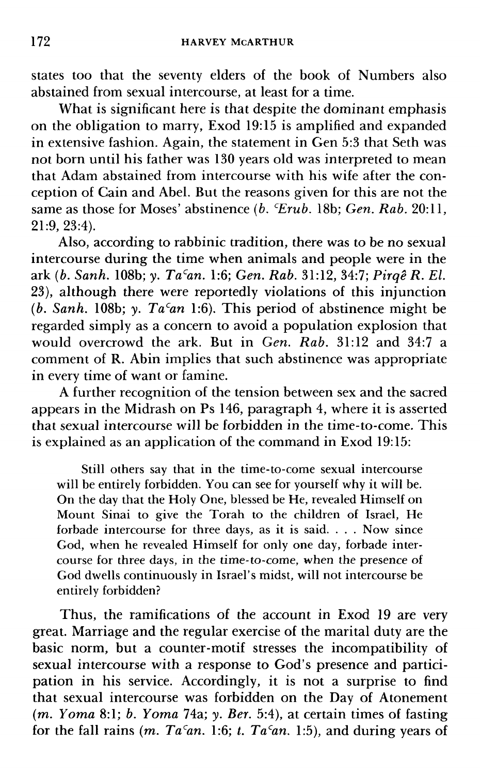states too that the seventy elders of the book of Numbers also abstained from sexual intercourse, at least for a time.

What is significant here is that despite the dominant emphasis on the obligation to marry, Exod 19: 15 is amplified and expanded in extensive fashion. Again, the statement in Gen 5:3 that Seth was not born until his father was 130 years old was interpreted to mean that Adam abstained from intercourse with his wife after the conception of Cain and Abel. But the reasons given for this are not the same as those for Moses' abstinence *(b. 'Erub.* 18b; *Gen. Rub.* 20:11, 21:9, 23:4).

Also, according to rabbinic tradition, there was to be no sexual intercourse during the time when animals and people were in the ark *(b. Sanh. 108b; y. Ta<sup>c</sup>an. 1:6; Gen. Rab. 31:12, 34:7; Pirgê R. El.* 23), although there were reportedly violations of this injunction (b. Sanh.  $108b$ ; *y.*  $Ta<sup>c</sup>an 1:6$ ). This period of abstinence might be regarded simply as a concern to avoid a population explosion that would overcrowd the ark. But in *Gen. Rub.* 31:12 and 34:7 a comment of R. Abin implies that such abstinence was appropriate in every time of want or famine.

A further recognition of the tension between sex and the sacred appears in the Midrash on Ps 146, paragraph 4, where it is asserted that sexual intercourse will be forbidden in the time-to-come. This is explained as an application of the command in Exod 19:15:

Still others say that in the time-to-come sexual intercourse will be entirely forbidden. You can see for yourself why it will be. On the day that the Holy One, blessed be He, revealed Himself on Mount Sinai to give the Torah to the children of Israel, He forbade intercourse for three days, as it is said. . . . Now since God, when he revealed Himself for only one day, forbade intercourse for three days, in the time-to-come, when the presence of God dwells continuously in Israel's midst, will not intercourse be entirely forbidden?

Thus, the ramifications of the account in Exod 19 are very great. Marriage and the regular exercise of the marital duty are the basic norm, but a counter-motif stresses the incompatibility of sexual intercourse with a response to God's presence and participation in his service. Accordingly, it is not a surprise to find that sexual intercourse was forbidden on the Day of Atonement *(m. Yoma* 8:l; *b. Yorna* 74a; *y. Ber.* 5:4), at certain times of fasting for the fall rains  $(m. Ta<sup>c</sup>an. 1:6; t. Ta<sup>c</sup>an. 1:5)$ , and during years of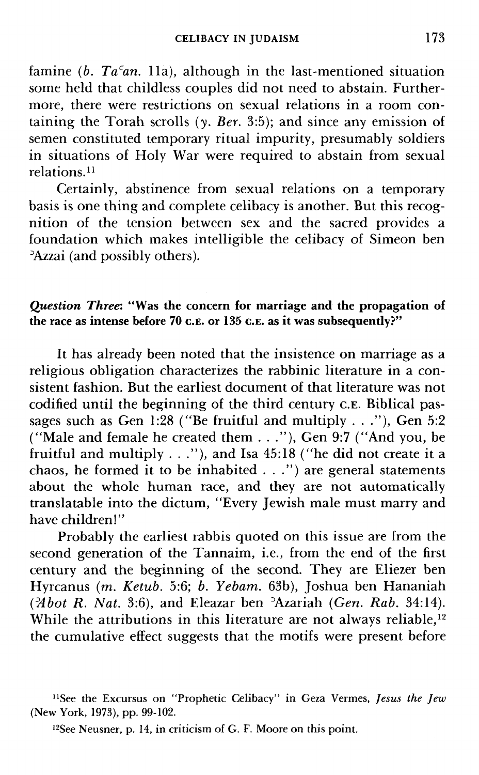famine (b.  $Ta<sup>2</sup>an$ . 11a), although in the last-mentioned situation some held that childless couples did not need to abstain. Furthermore, there were restrictions on sexual relations in a room containing the Torah scrolls (y. *Ber.* 3:5); and since any emission of semen constituted temporary ritual impurity, presumably soldiers in situations of Holy War were required to abstain from sexual relations<sup>11</sup>

Certainly, abstinence from sexual relations on a temporary basis is one thing and complete celibacy is another. But this recognition of the tension between sex and the sacred provides a foundation which makes intelligible the celibacy of Simeon ben 'Azzai (and possibly others).

### *Question Three:* **"Was the concern for marriage and the propagation of the race as intense before 70 C.E. or 135 C.E. as it was subsequently?"**

It has already been noted that the insistence on marriage as a religious obligation characterizes the rabbinic literature in a consistent fashion. But the earliest document of that literature was not codified until the beginning of the third century **C.E.** Biblical passages such as Gen 1:28 ("Be fruitful and multiply . . ."), Gen 5:2 ("Male and female he created them . . ."), Gen 9:7 ("And you, be fruitful and multiply . . ."), and Isa 45: 18 ("he did not create it a chaos, he formed it to be inhabited . . .") are general statements about the whole human race, and they are not automatically translatable into the dictum, "Every Jewish male must marry and have children!"

Probably the earliest rabbis quoted on this issue are from the second generation of the Tannaim, i.e., from the end of the first century and the beginning of the second. They are Eliezer ben Hyrcanus (m. Ketub. 5:6; b. Yebam. 63b), Joshua ben Hananiah ( $74bot$  R. Nat. 3:6), and Eleazar ben  $^3$ Azariah (Gen. Rab. 34:14). While the attributions in this literature are not always reliable, $12$ the cumulative effect suggests that the motifs were present before

<sup>&</sup>lt;sup>11</sup>See the Excursus on "Prophetic Celibacy" in Geza Vermes, *Jesus the Jew* (New York, 1973), pp. 99-102.

 $^{12}$ See Neusner, p. 14, in criticism of G. F. Moore on this point.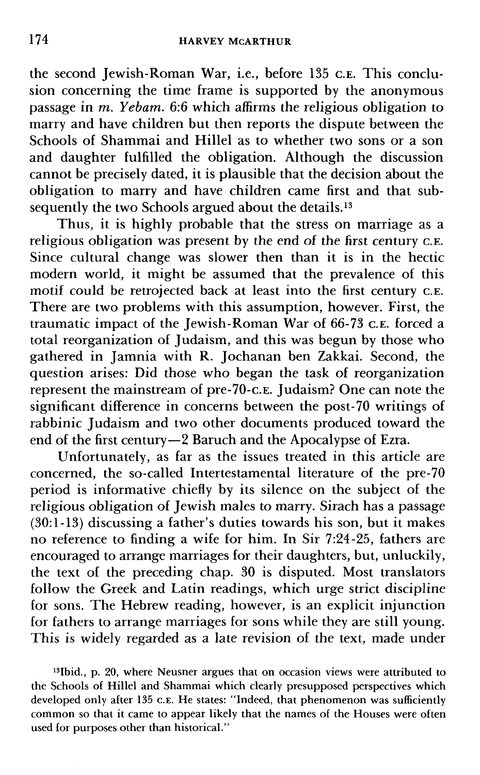the second Jewish-Roman War, i.e., before 135 **C.E.** This conclusion concerning the time frame is supported by the anonymous passage in  $m$ . Yebam. 6:6 which affirms the religious obligation to marry and have children but then reports the dispute between the Schools of Shammai and Hillel as to whether two sons or a son and daughter fulfilled the obligation. Although the discussion cannot be precisely dated, it is plausible that the decision about the obligation to marry and have children came first and that subsequently the two Schools argued about the details.<sup>13</sup>

Thus, it is highly probable that the stress on marriage as a religious obligation was present by the end of the first century **C.E.**  Since cultural change was slower then than it is in the hectic modern world, it might be assumed that the prevalence of this motif could be retrojected back at least into the first century **C.E.**  There are two problems with this assumption, however. First, the traumatic impact of the Jewish-Roman War of 66-73 C.E. forced a total reorganization of Judaism, and this was begun by those who gathered in Jamnia with R. Jochanan ben Zakkai. Second, the question arises: Did those who began the task of reorganization represent the mainstream of pre-70-C.E. Judaism? One can note the significant difference in concerns between the post-70 writings of rabbinic Judaism and two other documents produced toward the end of the first century-2 Baruch and the Apocalypse of Ezra.

Unfortunately, as far as the issues treated in this article are concerned, the so-called Intertestamental literature of the pre-70 period is informative chiefly by its silence on the subject of the religious obligation of Jewish males to marry. Sirach has a passage (30:l- 13) discussing a father's duties towards his son, but it makes no reference to finding a wife for him. In Sir 7:24-25, fathers are encouraged to arrange marriages for their daughters, but, unluckily, the text of the preceding chap. 30 is disputed. Most translators follow the Greek and Latin readings, which urge strict discipline for sons. The Hebrew reading, however, is an explicit injunction for fathers to arrange marriages for sons while they are still young. This is widely regarded as a late revision of the text, made under

**'SIbid., p. 20, where Neusner argues that on occasion views were attributed to the Schools of Hillel and Shammai which clearly presupposed perspectives which developed only after 135 C.E. He states: "Indeed, that phenomenon was sufficiently common so that it came to appear likely that the names of the Houses were often used for purposes other than historical."**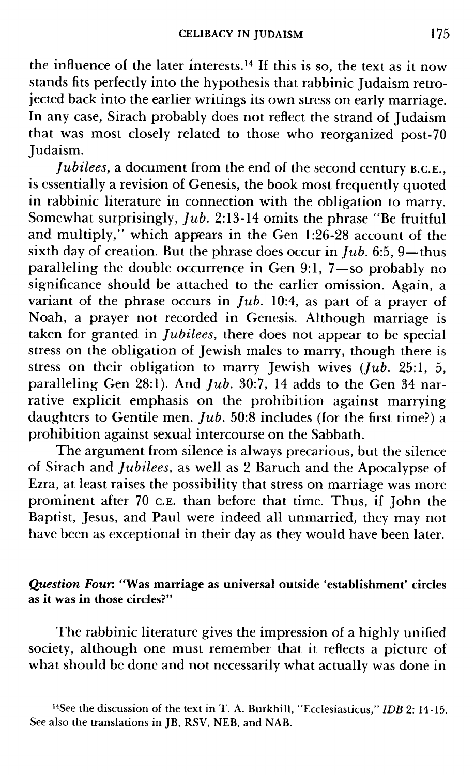the influence of the later interests.14 If this is so, the text as it now stands fits perfectly into the hypothesis that rabbinic Judaism retrojected back into the earlier writings its own stress on early marriage. In any case, Sirach probably does not reflect the strand of Judaism that was most closely related to those who reorganized post-70 Judaism.

Jubilees, a document from the end of the second century B.c.E., is essentially a revision of Genesis, the book most frequently quoted in rabbinic literature in connection with the obligation to marry. Somewhat surprisingly, Jub. 2:13-14 omits the phrase "Be fruitful and multiply," which appears in the Gen 1:26-28 account of the sixth day of creation. But the phrase does occur in *Jub.* 6:5, 9-thus paralleling the double occurrence in Gen 9:1, 7-so probably no significance should be attached to the earlier omission. Again, a variant of the phrase occurs in  $Jub$ . 10:4, as part of a prayer of Noah, a prayer not recorded in Genesis. Although marriage is taken for granted in *Jubilees*, there does not appear to be special stress on the obligation of Jewish males to marry, though there is stress on their obligation to marry Jewish wives  $(Ju\bar{b}$ . 25:1, 5, paralleling Gen 28:1). And  $Jub.$  30:7, 14 adds to the Gen 34 narrative explicit emphasis on the prohibition against marrying daughters to Gentile men. *Jub.* 50:8 includes (for the first time?) a prohibition against sexual intercourse on the Sabbath.

The argument from silence is always precarious, but the silence of Sirach and Jubilees, as well as 2 Baruch and the Apocalypse of Ezra, at least raises the possibility that stress on marriage was more prominent after 70 C.E. than before that time. Thus, if John the Baptist, Jesus, and Paul were indeed all unmarried, they may not have been as exceptional in their day as they would have been later.

### *Question Four:* "Was marriage as universal outside 'establishment' circles as it was in those circles?"

The rabbinic literature gives the impression of a highly unified society, although one must remember that it reflects a picture of what should be done and not necessarily what actually was done in

<sup>&</sup>lt;sup>14</sup>See the discussion of the text in T. A. Burkhill, "Ecclesiasticus," *IDB* 2: 14-15. **See also the translations in JB, RSV, NEB, and NAB.**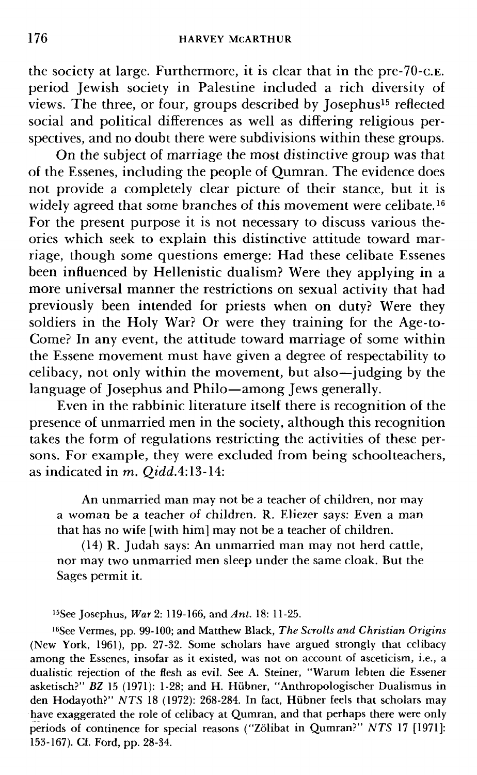the society at large. Furthermore, it is clear that in the pre-70-C.E. period Jewish society in Palestine included a rich diversity of views. The three, or four, groups described by Josephus15 reflected social and political differences as well as differing religious perspectives, and no doubt there were subdivisions within these groups.

On the subject of marriage the most distinctive group was that of the Essenes, including the people of Qumran. The evidence does not provide a completely clear picture of their stance, but it is widely agreed that some branches of this movement were celibate.16 For the present purpose it is not necessary to discuss various theories which seek to explain this distinctive attitude toward marriage, though some questions emerge: Had these celibate Essenes been influenced by Hellenistic dualism? Were they applying in a more universal manner the restrictions on sexual activity that had previously been intended for priests when on duty? Were they soldiers in the Holy War? Or were they training for the Age-to-Come? In any event, the attitude toward marriage of some within the Essene movement must have given a degree of respectability to  $celi$  celibacy, not only within the movement, but also-judging by the language of Josephus and Philo-among Jews generally.

Even in the rabbinic literature itself there is recognition of the presence of unmarried men in the society, although this recognition takes the form of regulations restricting the activities of these persons. For example, they were excluded from being schoolteachers, as indicated in m. **Qidd.4:** 13- **14:** 

**An unmarried man may not be a teacher of children, nor may a woman be a teacher of children. R. Eliezer says: Even a man that has no wife [with him] may not be a teacher of children.** 

**(14) R. Judah says: An unmarried man may not herd cattle, nor may two unmarried men sleep under the same cloak. But the Sages permit it.** 

**15See Josephus,** *War* **2: 119- 166, and** *Ant.* **18: 11 -25.** 

**9ee Vermes, pp. 99-100; and Matthew Black,** *The Scrolls and Christian Origins*  **(New York, 1961), pp. 27-32. Some scholars have argued strongly that celibacy among the Essenes, insofar as it existed, was not on account of asceticism, i.e., a dualistic rejection of the flesh as evil. See A. Steiner, "Warum lebten die Essener asketisch?"** *BZ* **15 (1971): 1-28; and H. Hiibner, "Anthropologischer Dualismus in den Hodayoth?" NTS 18 (1972): 268-284. In fact, Hiibner feels that scholars may have exaggerated the role of celibacy at Qumran, and that perhaps there were only periods of continence for special reasons ("Zolibat in Qumran?" NTS 17 [1971]: 153-167). Cf. Ford, pp. 28-34.**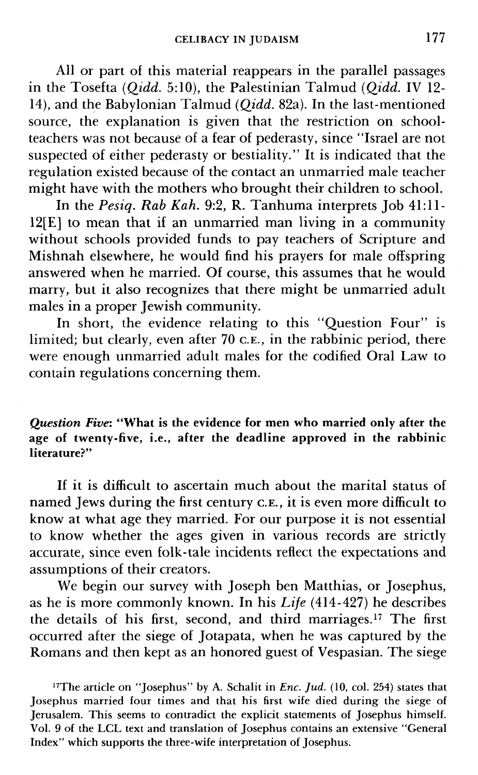All or part of this material reappears in the parallel passages in the Tosefta (Oidd. 5:10), the Palestinian Talmud (Oidd. IV 12-14), and the Babylonian Talmud (Qidd. 82a). In the last-mentioned source, the explanation is given that the restriction on schoolteachers was not because of a fear of pederasty, since "Israel are not suspected of either pederasty or bestiality. " It is indicated that the regulation existed because of the contact an unmarried male teacher might have with the mothers who brought their children to school.

In the Pesig. Rab Kah. 9:2, R. Tanhuma interprets Job 41:11-**12[E]** to mean that if an unmarried man living in a community without schools provided funds to pay teachers of Scripture and Mishnah elsewhere, he would find his prayers for male offspring answered when he married. Of course, this assumes that he would marry, but it also recognizes that there might be unmarried adult males in a proper Jewish community.

In short, the evidence relating to this "Question Four" is limited; but clearly, even after 70 c.E., in the rabbinic period, there were enough unmarried adult males for the codified Oral Law to contain regulations concerning them.

*Question Five:* **"What is the evidence for men who married only after the age of twenty-five, i.e., after the deadline approved in the rabbinic literature?"** 

If it is difficult to ascertain much about the marital status of named Jews during the first century **c.E.,** it is even more difficult to know at what age they married. For our purpose it is not essential to know whether the ages given in various records are strictly accurate, since even folk-tale incidents reflect the expectations and assumptions of their creators.

We begin our survey with Joseph ben Matthias, or Josephus, as he is more commonly known. In his Life (414-427) he describes the details of his first, second, and third marriages." The first occurred after the siege of Jotapata, when he was captured by the Romans and then kept as an honored guest of Vespasian. The siege

<sup>&</sup>lt;sup>17</sup>The article on "Josephus" by A. Schalit in *Enc. Jud.* (10, col. 254) states that Josephus married four times and that his first wife died during the siege of Jerusalem. This seems to contradict the explicit statements of Josephus himself. Vol. 9 of the LCL text and translation of Josephus contains an extensive "General Index" which supports the three-wife interpretation of Josephus.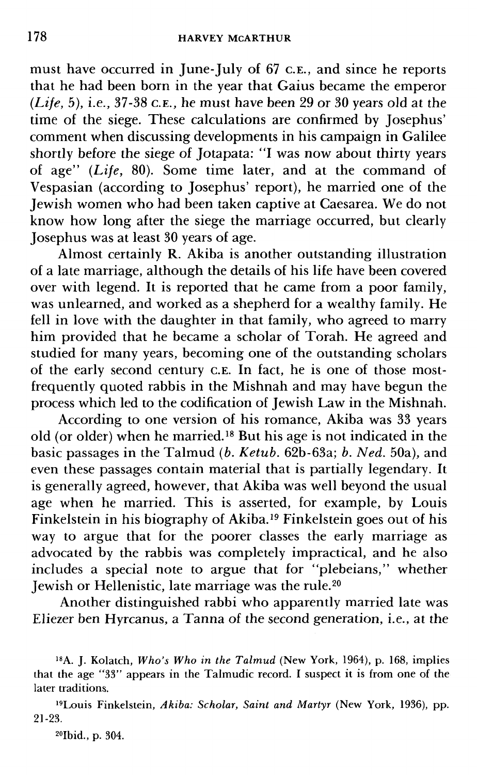must have occurred in June-July of 67 c.E., and since he reports that he had been born in the year that Gaius became the emperor **(Life,** 5), i.e., 37-38 **c.E.,** he must have been 29 or 30 years old at the time of the siege. These calculations are confirmed by Josephus' comment when discussing developments in his campaign in Galilee shortly before the siege of Jotapata: "I was now about thirty years of age" **(Life,** 80). Some time later, and at the command of Vespasian (according to Josephus' report), he married one of the Jewish women who had been taken captive at Caesarea. We do not know how long after the siege the marriage occurred, but clearly Josephus was at least 30 years of age.

Almost certainly R. Akiba is another outstanding illustration of a late marriage, although the details of his life have been covered over with legend. It is reported that he came from a poor family, was unlearned, and worked as a shepherd for a wealthy family. He fell in love with the daughter in that family, who agreed to marry him provided that he became a scholar of Torah. He agreed and studied for many years, becoming one of the outstanding scholars of the early second century C.E. In fact, he is one of those mostfrequently quoted rabbis in the Mishnah and may have begun the process which led to the codification of Jewish Law in the Mishnah.

According to one version of his romance, Akiba was 33 years old (or older) when he married.<sup>18</sup> But his age is not indicated in the basic passages in the Talmud (b. Ketub. 62b-63a; b. Ned. 50a), and even these passages contain material that is partially legendary. It is generally agreed, however, that Akiba was well beyond the usual age when he married. This is asserted, for example, by Louis Finkelstein in his biography of Akiba.<sup>19</sup> Finkelstein goes out of his way to argue that for the poorer classes the early marriage as advocated by the rabbis was completely impractical, and he also includes a special note to argue that for "plebeians," whether Jewish or Hellenistic, late marriage was the rule.<sup>20</sup>

Another distinguished rabbi who apparently married late was Eliezer ben Hyrcanus, a Tanna of the second generation, i.e., at the

**<sup>18</sup>A. J. Kolatch,** *Who's Who in the Talmud* **(New York, 1964), p. 168, implies that the age "33" appears in the Talmudic record. I suspect it is from one of the later traditions.** 

**lgLouis Finkelstein,** *Akiba: Scholar, Saint and Martyr* **(New York, 1936), pp. 21 -23.**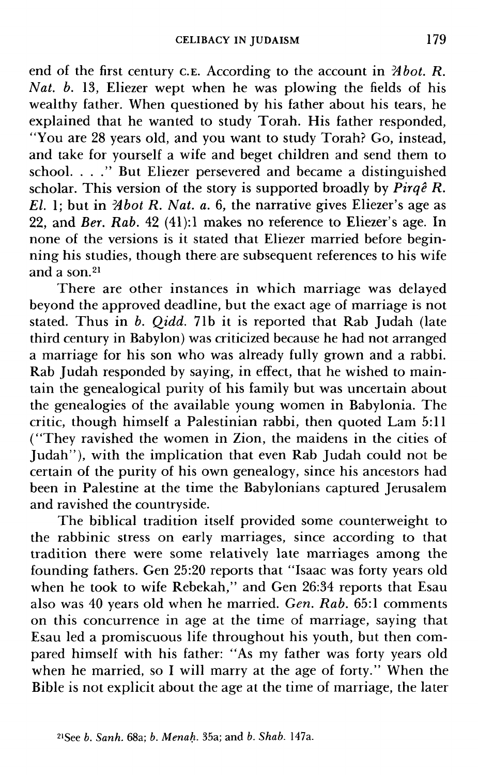end of the first century C.E. According to the account in *'Abot. R. Nat. b.* 13, Eliezer wept when he was plowing the fields of his wealthy father. When questioned by his father about his tears, he explained that he wanted to study Torah. His father responded, "You are 28 years old, and you want to study Torah? Go, instead, and take for yourself a wife and beget children and send them to school. . . ." But Eliezer persevered and became a distinguished scholar. This version of the story is supported broadly by  $\widetilde{P}$ *irqê R*. *El.* 1; but in *'Abot* R. *Nat. a.* 6, the narrative gives Eliezer's age as 22, and *Ber. Rab.* 42 (41):l makes no reference to Eliezer's age. In none of the versions is it stated that Eliezer married before beginning his studies, though there are subsequent references to his wife and a son.2'

There are other instances in which marriage was delayed beyond the approved deadline, but the exact age of marriage is not stated. Thus in *b. Qidd.* 71b it is reported that Rab Judah (late third century in Babylon) was criticized because he had not arranged a marriage for his son who was already fully grown and a rabbi. Rab Judah responded by saying, in effect, that he wished to maintain the genealogical purity of his family but was uncertain about the genealogies of the available young women in Babylonia. The critic, though himself a Palestinian rabbi, then quoted Lam 5:11 ("They ravished the women in Zion, the maidens in the cities of Judah"), with the implication that even Rab Judah could not be certain of the purity of his own genealogy, since his ancestors had been in Palestine at the time the Babylonians captured Jerusalem and ravished the countryside.

The biblical tradition itself provided some counterweight to the rabbinic stress on early marriages, since according to that tradition there were some relatively late marriages among the founding fathers. Gen 25:20 reports that "Isaac was forty years old when he took to wife Rebekah," and Gen 26:34 reports that Esau also was 40 years old when he married. Gen. *Rab.* 65:l comments on this concurrence in age at the time of marriage, saying that Esau led a promiscuous life throughout his youth, but then compared himself with his father: "As my father was forty years old when he married, so I will marry at the age of forty." When the Bible is not explicit about the age at the time of marriage, the later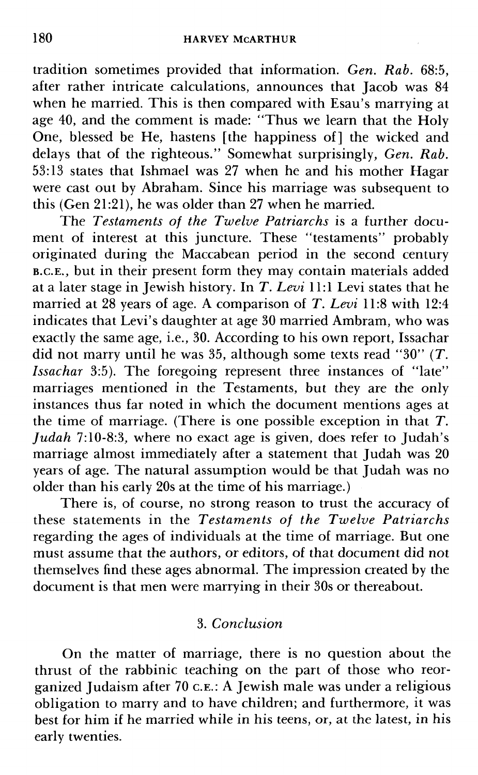tradition sometimes provided that information. *Gen. Rub.* 68:5, after rather intricate calculations, announces that Jacob was 84 when he married. This is then compared with Esau's marrying at age 40, and the comment is made: "Thus we learn that the Holy One, blessed be He, hastens [the happiness of] the wicked and delays that of the righteous." Somewhat surprisingly, *Gen. Rub.*  53:13 states that Ishmael was 27 when he and his mother Hagar were cast out by Abraham. Since his marriage was subsequent to this (Gen 21:21), he was older than 27 when he married.

The *Testaments of the Twelve Patriarchs* is a further document of interest at this juncture. These "testaments" probably originated during the Maccabean period in the second century B.c.E., but in their present form they may contain materials added at a later stage in Jewish history. In *T. Leui* 11: 1 Levi states that he married at 28 years of age. A comparison of *T. Leui* 11:8 with 12:4 indicates that Levi's daughter at age 30 married Ambram, who was exactly the same age, i.e., 30. According to his own report, Issachar did not marry until he was 35, although some texts read "30" *(T. Zssachar* 3:5). The foregoing represent three instances of "late" marriages mentioned in the Testaments, but they are the only instances thus far noted in which the document mentions ages at the time of marriage. (There is one possible exception in that *T. Judah* 7:lO-8:3, where no exact age is given, does refer to Judah's marriage almost immediately after a statement that Judah was 20 years of age. The natural assumption would be that Judah was no older than his early 20s at the time of his marriage.)

There is, of course, no strong reason to trust the accuracy of these statements in the *Testaments of the Twelve Patriarchs*  regarding the ages of individuals at the time of marriage. But one must assume that the authors, or editors, of that document did not themselves find these ages abnormal. The impression created by the document is that men were marrying in their 30s or thereabout.

### **3.** *Conclusion*

On the matter of marriage, there is no question about the thrust of the rabbinic teaching on the part of those who reorganized Judaism after 70 c.E.: A Jewish male was under a religious obligation to marry and to have children; and furthermore, it was best for him if he married while in his teens, or, at the latest, in his early twenties.